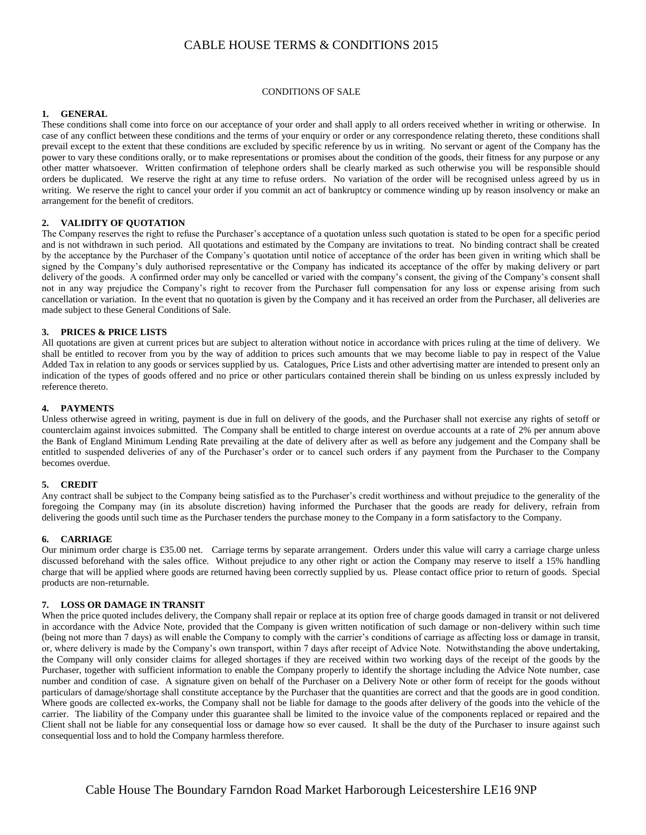# CABLE HOUSE TERMS & CONDITIONS 2015

#### CONDITIONS OF SALE

### **1. GENERAL**

These conditions shall come into force on our acceptance of your order and shall apply to all orders received whether in writing or otherwise. In case of any conflict between these conditions and the terms of your enquiry or order or any correspondence relating thereto, these conditions shall prevail except to the extent that these conditions are excluded by specific reference by us in writing. No servant or agent of the Company has the power to vary these conditions orally, or to make representations or promises about the condition of the goods, their fitness for any purpose or any other matter whatsoever. Written confirmation of telephone orders shall be clearly marked as such otherwise you will be responsible should orders be duplicated. We reserve the right at any time to refuse orders. No variation of the order will be recognised unless agreed by us in writing. We reserve the right to cancel your order if you commit an act of bankruptcy or commence winding up by reason insolvency or make an arrangement for the benefit of creditors.

### **2. VALIDITY OF QUOTATION**

The Company reserves the right to refuse the Purchaser's acceptance of a quotation unless such quotation is stated to be open for a specific period and is not withdrawn in such period. All quotations and estimated by the Company are invitations to treat. No binding contract shall be created by the acceptance by the Purchaser of the Company's quotation until notice of acceptance of the order has been given in writing which shall be signed by the Company's duly authorised representative or the Company has indicated its acceptance of the offer by making delivery or part delivery of the goods. A confirmed order may only be cancelled or varied with the company's consent, the giving of the Company's consent shall not in any way prejudice the Company's right to recover from the Purchaser full compensation for any loss or expense arising from such cancellation or variation. In the event that no quotation is given by the Company and it has received an order from the Purchaser, all deliveries are made subject to these General Conditions of Sale.

### **3. PRICES & PRICE LISTS**

All quotations are given at current prices but are subject to alteration without notice in accordance with prices ruling at the time of delivery. We shall be entitled to recover from you by the way of addition to prices such amounts that we may become liable to pay in respect of the Value Added Tax in relation to any goods or services supplied by us. Catalogues, Price Lists and other advertising matter are intended to present only an indication of the types of goods offered and no price or other particulars contained therein shall be binding on us unless expressly included by reference thereto.

### **4. PAYMENTS**

Unless otherwise agreed in writing, payment is due in full on delivery of the goods, and the Purchaser shall not exercise any rights of setoff or counterclaim against invoices submitted. The Company shall be entitled to charge interest on overdue accounts at a rate of 2% per annum above the Bank of England Minimum Lending Rate prevailing at the date of delivery after as well as before any judgement and the Company shall be entitled to suspended deliveries of any of the Purchaser's order or to cancel such orders if any payment from the Purchaser to the Company becomes overdue.

#### **5. CREDIT**

Any contract shall be subject to the Company being satisfied as to the Purchaser's credit worthiness and without prejudice to the generality of the foregoing the Company may (in its absolute discretion) having informed the Purchaser that the goods are ready for delivery, refrain from delivering the goods until such time as the Purchaser tenders the purchase money to the Company in a form satisfactory to the Company.

#### **6. CARRIAGE**

Our minimum order charge is £35.00 net. Carriage terms by separate arrangement. Orders under this value will carry a carriage charge unless discussed beforehand with the sales office. Without prejudice to any other right or action the Company may reserve to itself a 15% handling charge that will be applied where goods are returned having been correctly supplied by us. Please contact office prior to return of goods. Special products are non-returnable.

#### **7. LOSS OR DAMAGE IN TRANSIT**

When the price quoted includes delivery, the Company shall repair or replace at its option free of charge goods damaged in transit or not delivered in accordance with the Advice Note, provided that the Company is given written notification of such damage or non-delivery within such time (being not more than 7 days) as will enable the Company to comply with the carrier's conditions of carriage as affecting loss or damage in transit, or, where delivery is made by the Company's own transport, within 7 days after receipt of Advice Note. Notwithstanding the above undertaking, the Company will only consider claims for alleged shortages if they are received within two working days of the receipt of the goods by the Purchaser, together with sufficient information to enable the Company properly to identify the shortage including the Advice Note number, case number and condition of case. A signature given on behalf of the Purchaser on a Delivery Note or other form of receipt for the goods without particulars of damage/shortage shall constitute acceptance by the Purchaser that the quantities are correct and that the goods are in good condition. Where goods are collected ex-works, the Company shall not be liable for damage to the goods after delivery of the goods into the vehicle of the carrier. The liability of the Company under this guarantee shall be limited to the invoice value of the components replaced or repaired and the Client shall not be liable for any consequential loss or damage how so ever caused. It shall be the duty of the Purchaser to insure against such consequential loss and to hold the Company harmless therefore.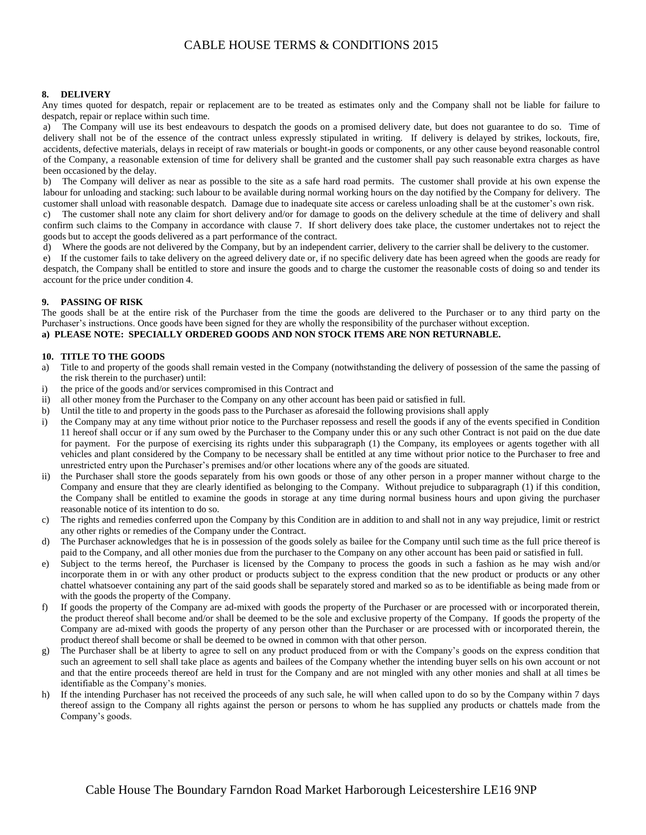# CABLE HOUSE TERMS & CONDITIONS 2015

### **8. DELIVERY**

Any times quoted for despatch, repair or replacement are to be treated as estimates only and the Company shall not be liable for failure to despatch, repair or replace within such time.

a) The Company will use its best endeavours to despatch the goods on a promised delivery date, but does not guarantee to do so. Time of delivery shall not be of the essence of the contract unless expressly stipulated in writing. If delivery is delayed by strikes, lockouts, fire, accidents, defective materials, delays in receipt of raw materials or bought-in goods or components, or any other cause beyond reasonable control of the Company, a reasonable extension of time for delivery shall be granted and the customer shall pay such reasonable extra charges as have been occasioned by the delay.

b) The Company will deliver as near as possible to the site as a safe hard road permits. The customer shall provide at his own expense the labour for unloading and stacking: such labour to be available during normal working hours on the day notified by the Company for delivery. The customer shall unload with reasonable despatch. Damage due to inadequate site access or careless unloading shall be at the customer's own risk.

c) The customer shall note any claim for short delivery and/or for damage to goods on the delivery schedule at the time of delivery and shall confirm such claims to the Company in accordance with clause 7. If short delivery does take place, the customer undertakes not to reject the goods but to accept the goods delivered as a part performance of the contract.

d) Where the goods are not delivered by the Company, but by an independent carrier, delivery to the carrier shall be delivery to the customer.

e) If the customer fails to take delivery on the agreed delivery date or, if no specific delivery date has been agreed when the goods are ready for despatch, the Company shall be entitled to store and insure the goods and to charge the customer the reasonable costs of doing so and tender its account for the price under condition 4.

### **9. PASSING OF RISK**

The goods shall be at the entire risk of the Purchaser from the time the goods are delivered to the Purchaser or to any third party on the Purchaser's instructions. Once goods have been signed for they are wholly the responsibility of the purchaser without exception.

# **a) PLEASE NOTE: SPECIALLY ORDERED GOODS AND NON STOCK ITEMS ARE NON RETURNABLE.**

### **10. TITLE TO THE GOODS**

- a) Title to and property of the goods shall remain vested in the Company (notwithstanding the delivery of possession of the same the passing of the risk therein to the purchaser) until:
- i) the price of the goods and/or services compromised in this Contract and
- ii) all other money from the Purchaser to the Company on any other account has been paid or satisfied in full.
- b) Until the title to and property in the goods pass to the Purchaser as aforesaid the following provisions shall apply
- i) the Company may at any time without prior notice to the Purchaser repossess and resell the goods if any of the events specified in Condition 11 hereof shall occur or if any sum owed by the Purchaser to the Company under this or any such other Contract is not paid on the due date for payment. For the purpose of exercising its rights under this subparagraph (1) the Company, its employees or agents together with all vehicles and plant considered by the Company to be necessary shall be entitled at any time without prior notice to the Purchaser to free and unrestricted entry upon the Purchaser's premises and/or other locations where any of the goods are situated.
- ii) the Purchaser shall store the goods separately from his own goods or those of any other person in a proper manner without charge to the Company and ensure that they are clearly identified as belonging to the Company. Without prejudice to subparagraph (1) if this condition, the Company shall be entitled to examine the goods in storage at any time during normal business hours and upon giving the purchaser reasonable notice of its intention to do so.
- c) The rights and remedies conferred upon the Company by this Condition are in addition to and shall not in any way prejudice, limit or restrict any other rights or remedies of the Company under the Contract.
- The Purchaser acknowledges that he is in possession of the goods solely as bailee for the Company until such time as the full price thereof is paid to the Company, and all other monies due from the purchaser to the Company on any other account has been paid or satisfied in full.
- e) Subject to the terms hereof, the Purchaser is licensed by the Company to process the goods in such a fashion as he may wish and/or incorporate them in or with any other product or products subject to the express condition that the new product or products or any other chattel whatsoever containing any part of the said goods shall be separately stored and marked so as to be identifiable as being made from or with the goods the property of the Company.
- f) If goods the property of the Company are ad-mixed with goods the property of the Purchaser or are processed with or incorporated therein, the product thereof shall become and/or shall be deemed to be the sole and exclusive property of the Company. If goods the property of the Company are ad-mixed with goods the property of any person other than the Purchaser or are processed with or incorporated therein, the product thereof shall become or shall be deemed to be owned in common with that other person.
- g) The Purchaser shall be at liberty to agree to sell on any product produced from or with the Company's goods on the express condition that such an agreement to sell shall take place as agents and bailees of the Company whether the intending buyer sells on his own account or not and that the entire proceeds thereof are held in trust for the Company and are not mingled with any other monies and shall at all times be identifiable as the Company's monies.
- h) If the intending Purchaser has not received the proceeds of any such sale, he will when called upon to do so by the Company within 7 days thereof assign to the Company all rights against the person or persons to whom he has supplied any products or chattels made from the Company's goods.